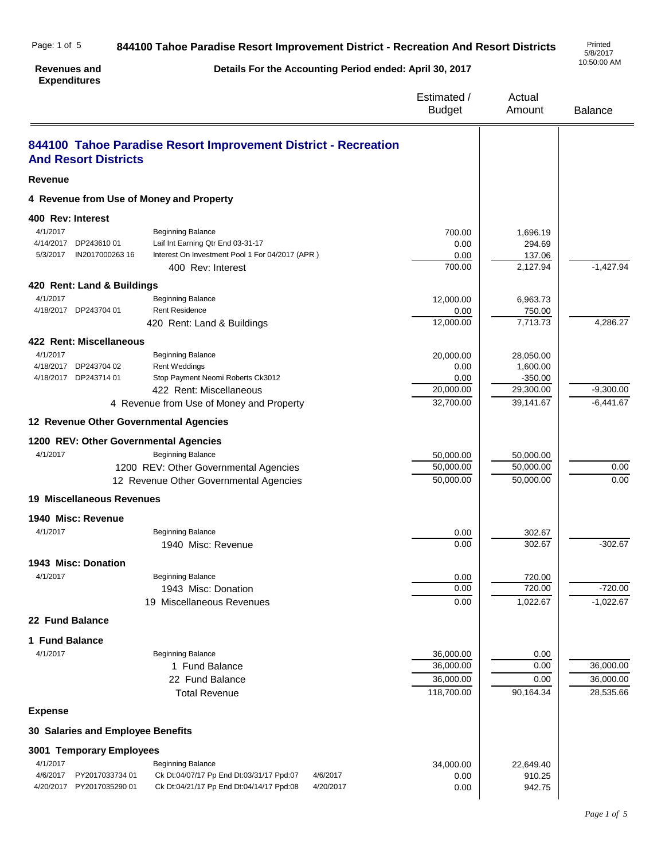| <b>Expenditures</b>                      |                                                                |                              |                       |                        |
|------------------------------------------|----------------------------------------------------------------|------------------------------|-----------------------|------------------------|
|                                          |                                                                | Estimated /<br><b>Budget</b> | Actual<br>Amount      | <b>Balance</b>         |
| <b>And Resort Districts</b>              | 844100 Tahoe Paradise Resort Improvement District - Recreation |                              |                       |                        |
| <b>Revenue</b>                           |                                                                |                              |                       |                        |
| 4 Revenue from Use of Money and Property |                                                                |                              |                       |                        |
| 400 Rev: Interest                        |                                                                |                              |                       |                        |
| 4/1/2017                                 | <b>Beginning Balance</b>                                       | 700.00                       | 1,696.19              |                        |
| 4/14/2017 DP243610 01                    | Laif Int Earning Qtr End 03-31-17                              | 0.00                         | 294.69                |                        |
| 5/3/2017<br>IN2017000263 16              | Interest On Investment Pool 1 For 04/2017 (APR)                | 0.00                         | 137.06                |                        |
|                                          | 400 Rev: Interest                                              | 700.00                       | 2,127.94              | $-1,427.94$            |
| 420 Rent: Land & Buildings               |                                                                |                              |                       |                        |
| 4/1/2017                                 | <b>Beginning Balance</b>                                       | 12,000.00                    | 6,963.73              |                        |
| 4/18/2017 DP243704 01                    | <b>Rent Residence</b>                                          | 0.00                         | 750.00                |                        |
|                                          | 420 Rent: Land & Buildings                                     | 12,000.00                    | 7,713.73              | 4,286.27               |
| 422 Rent: Miscellaneous                  |                                                                |                              |                       |                        |
| 4/1/2017<br>4/18/2017 DP243704 02        | <b>Beginning Balance</b>                                       | 20,000.00                    | 28,050.00             |                        |
| 4/18/2017 DP243714 01                    | <b>Rent Weddings</b><br>Stop Payment Neomi Roberts Ck3012      | 0.00<br>0.00                 | 1,600.00<br>$-350.00$ |                        |
|                                          | 422 Rent: Miscellaneous                                        | 20,000.00                    | 29,300.00             | $-9,300.00$            |
|                                          | 4 Revenue from Use of Money and Property                       | 32,700.00                    | 39,141.67             | $-6,441.67$            |
| 12 Revenue Other Governmental Agencies   |                                                                |                              |                       |                        |
| 1200 REV: Other Governmental Agencies    |                                                                |                              |                       |                        |
| 4/1/2017                                 | <b>Beginning Balance</b>                                       | 50,000.00                    | 50,000.00             |                        |
|                                          | 1200 REV: Other Governmental Agencies                          | 50,000.00                    | 50,000.00             | 0.00                   |
|                                          | 12 Revenue Other Governmental Agencies                         | 50,000.00                    | 50,000.00             | 0.00                   |
| <b>19 Miscellaneous Revenues</b>         |                                                                |                              |                       |                        |
|                                          |                                                                |                              |                       |                        |
| 1940 Misc: Revenue                       |                                                                |                              |                       |                        |
| 4/1/2017                                 | <b>Beginning Balance</b><br>1940 Misc: Revenue                 | 0.00<br>0.00                 | 302.67<br>302.67      | $-302.67$              |
|                                          |                                                                |                              |                       |                        |
| 1943 Misc: Donation                      |                                                                |                              |                       |                        |
| 4/1/2017                                 | <b>Beginning Balance</b>                                       | 0.00<br>0.00                 | 720.00<br>720.00      | $-720.00$              |
|                                          | 1943 Misc: Donation<br>19 Miscellaneous Revenues               | 0.00                         | 1,022.67              | $-1,022.67$            |
| 22 Fund Balance                          |                                                                |                              |                       |                        |
|                                          |                                                                |                              |                       |                        |
| 1 Fund Balance                           |                                                                |                              |                       |                        |
| 4/1/2017                                 | <b>Beginning Balance</b>                                       | 36,000.00                    | 0.00                  |                        |
|                                          | 1 Fund Balance                                                 | 36,000.00                    | 0.00                  | 36,000.00<br>36,000.00 |
|                                          | 22 Fund Balance                                                | 36,000.00<br>118,700.00      | 0.00<br>90,164.34     | 28,535.66              |
|                                          | <b>Total Revenue</b>                                           |                              |                       |                        |
| <b>Expense</b>                           |                                                                |                              |                       |                        |
| 30 Salaries and Employee Benefits        |                                                                |                              |                       |                        |
| 3001 Temporary Employees                 |                                                                |                              |                       |                        |
| 4/1/2017                                 | <b>Beginning Balance</b>                                       | 34,000.00                    | 22,649.40             |                        |
| 4/6/2017<br>PY2017033734 01              | Ck Dt:04/07/17 Pp End Dt:03/31/17 Ppd:07<br>4/6/2017           | 0.00                         | 910.25                |                        |
| 4/20/2017<br>PY2017035290 01             | Ck Dt:04/21/17 Pp End Dt:04/14/17 Ppd:08<br>4/20/2017          | 0.00                         | 942.75                |                        |

**Details For the Accounting Period ended: April 30, 2017**

**844100 Tahoe Paradise Resort Improvement District - Recreation And Resort Districts** 

Page: 1 of 5

**Revenues and** 

5/8/2017 10:50:00 AM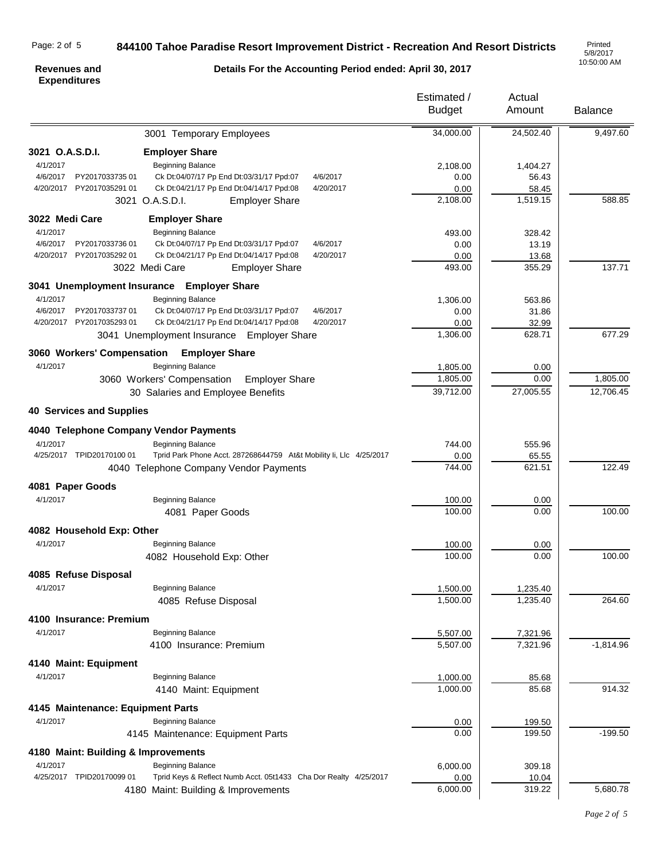# Page: 2 of 5

# **844100 Tahoe Paradise Resort Improvement District - Recreation And Resort Districts**

5/8/2017 10:50:00 AM

### **Revenues and Expenditures**

# **Details For the Accounting Period ended: April 30, 2017**

|                                        |                                                                     | Estimated /<br><b>Budget</b> | Actual<br>Amount | <b>Balance</b> |
|----------------------------------------|---------------------------------------------------------------------|------------------------------|------------------|----------------|
|                                        | 3001 Temporary Employees                                            | 34,000.00                    | 24,502.40        | 9,497.60       |
| 3021 O.A.S.D.I.                        | <b>Employer Share</b>                                               |                              |                  |                |
| 4/1/2017                               | <b>Beginning Balance</b>                                            | 2,108.00                     | 1,404.27         |                |
| 4/6/2017<br>PY201703373501             | Ck Dt:04/07/17 Pp End Dt:03/31/17 Ppd:07<br>4/6/2017                | 0.00                         | 56.43            |                |
| 4/20/2017 PY2017035291 01              | Ck Dt:04/21/17 Pp End Dt:04/14/17 Ppd:08<br>4/20/2017               | 0.00                         | 58.45            |                |
|                                        | 3021 O.A.S.D.I.<br><b>Employer Share</b>                            | 2,108.00                     | 1,519.15         | 588.85         |
| 3022 Medi Care                         | <b>Employer Share</b>                                               |                              |                  |                |
| 4/1/2017                               | <b>Beginning Balance</b>                                            | 493.00                       | 328.42           |                |
| 4/6/2017<br>PY201703373601             | Ck Dt:04/07/17 Pp End Dt:03/31/17 Ppd:07<br>4/6/2017                | 0.00                         | 13.19            |                |
| 4/20/2017<br>PY2017035292 01           | Ck Dt:04/21/17 Pp End Dt:04/14/17 Ppd:08<br>4/20/2017               | 0.00                         | 13.68            |                |
|                                        | 3022 Medi Care<br><b>Employer Share</b>                             | 493.00                       | 355.29           | 137.71         |
|                                        | 3041 Unemployment Insurance Employer Share                          |                              |                  |                |
| 4/1/2017                               | <b>Beginning Balance</b>                                            | 1,306.00                     | 563.86           |                |
| 4/6/2017<br>PY2017033737 01            | Ck Dt:04/07/17 Pp End Dt:03/31/17 Ppd:07<br>4/6/2017                | 0.00                         | 31.86            |                |
| 4/20/2017 PY2017035293 01              | Ck Dt:04/21/17 Pp End Dt:04/14/17 Ppd:08<br>4/20/2017               | 0.00                         | 32.99            |                |
|                                        | 3041 Unemployment Insurance Employer Share                          | 1,306.00                     | 628.71           | 677.29         |
|                                        | 3060 Workers' Compensation Employer Share                           |                              |                  |                |
| 4/1/2017                               | <b>Beginning Balance</b>                                            | 1,805.00                     | 0.00             |                |
|                                        | 3060 Workers' Compensation<br><b>Employer Share</b>                 | 1,805.00                     | 0.00             | 1,805.00       |
|                                        | 30 Salaries and Employee Benefits                                   | 39,712.00                    | 27,005.55        | 12,706.45      |
| <b>40 Services and Supplies</b>        |                                                                     |                              |                  |                |
| 4040 Telephone Company Vendor Payments |                                                                     |                              |                  |                |
| 4/1/2017                               | <b>Beginning Balance</b>                                            | 744.00                       | 555.96           |                |
| 4/25/2017 TPID20170100 01              | Tprid Park Phone Acct. 287268644759 At&t Mobility Ii, Llc 4/25/2017 | 0.00                         | 65.55            |                |
|                                        | 4040 Telephone Company Vendor Payments                              | 744.00                       | 621.51           | 122.49         |
| 4081 Paper Goods                       |                                                                     |                              |                  |                |
| 4/1/2017                               | <b>Beginning Balance</b>                                            | 100.00                       | 0.00             |                |
|                                        | 4081 Paper Goods                                                    | 100.00                       | 0.00             | 100.00         |
| 4082 Household Exp: Other              |                                                                     |                              |                  |                |
| 4/1/2017                               | <b>Beginning Balance</b>                                            | 100.00                       | 0.00             |                |
|                                        | 4082 Household Exp: Other                                           | 100.00                       | 0.00             | 100.00         |
| 4085 Refuse Disposal                   |                                                                     |                              |                  |                |
| 4/1/2017                               | <b>Beginning Balance</b>                                            | 1,500.00                     | 1,235.40         |                |
|                                        | 4085 Refuse Disposal                                                | 1,500.00                     | 1,235.40         | 264.60         |
| 4100 Insurance: Premium                |                                                                     |                              |                  |                |
| 4/1/2017                               | <b>Beginning Balance</b>                                            | 5,507.00                     | 7,321.96         |                |
|                                        | 4100 Insurance: Premium                                             | 5,507.00                     | 7,321.96         | $-1,814.96$    |
| 4140 Maint: Equipment                  |                                                                     |                              |                  |                |
| 4/1/2017                               | <b>Beginning Balance</b>                                            | 1,000.00                     | 85.68            |                |
|                                        | 4140 Maint: Equipment                                               | 1,000.00                     | 85.68            | 914.32         |
| 4145 Maintenance: Equipment Parts      |                                                                     |                              |                  |                |
| 4/1/2017                               | <b>Beginning Balance</b>                                            | 0.00                         | 199.50           |                |
|                                        | 4145 Maintenance: Equipment Parts                                   | 0.00                         | 199.50           | $-199.50$      |
| 4180 Maint: Building & Improvements    |                                                                     |                              |                  |                |
| 4/1/2017                               | Beginning Balance                                                   | 6,000.00                     | 309.18           |                |
| 4/25/2017 TPID20170099 01              | Tprid Keys & Reflect Numb Acct. 05t1433 Cha Dor Realty 4/25/2017    | 0.00                         | 10.04            |                |
|                                        | 4180 Maint: Building & Improvements                                 | 6,000.00                     | 319.22           | 5,680.78       |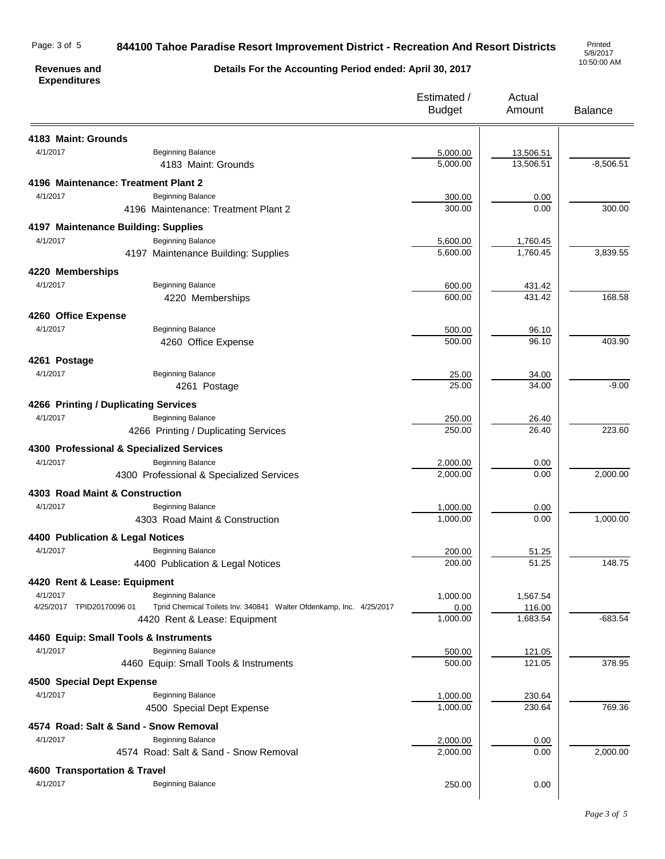#### **844100 Tahoe Paradise Resort Improvement District - Recreation And Resort Districts** Page: 3 of 5

5/8/2017 10:50:00 AM

### **Revenues and Expenditures**

**Details For the Accounting Period ended: April 30, 2017**

|                                  |                                                                     | Estimated /<br><b>Budget</b> | Actual<br>Amount       | <b>Balance</b> |
|----------------------------------|---------------------------------------------------------------------|------------------------------|------------------------|----------------|
| 4183 Maint: Grounds              |                                                                     |                              |                        |                |
| 4/1/2017                         | <b>Beginning Balance</b>                                            |                              |                        |                |
|                                  | 4183 Maint: Grounds                                                 | 5,000.00<br>5,000.00         | 13,506.51<br>13,506.51 | $-8,506.51$    |
|                                  |                                                                     |                              |                        |                |
|                                  | 4196 Maintenance: Treatment Plant 2                                 |                              |                        |                |
| 4/1/2017                         | <b>Beginning Balance</b>                                            | 300.00                       | 0.00                   |                |
|                                  | 4196 Maintenance: Treatment Plant 2                                 | 300.00                       | 0.00                   | 300.00         |
|                                  | 4197 Maintenance Building: Supplies                                 |                              |                        |                |
| 4/1/2017                         | <b>Beginning Balance</b>                                            | 5,600.00                     | 1,760.45               |                |
|                                  | 4197 Maintenance Building: Supplies                                 | 5,600.00                     | 1,760.45               | 3,839.55       |
|                                  |                                                                     |                              |                        |                |
| 4220 Memberships                 |                                                                     |                              |                        |                |
| 4/1/2017                         | <b>Beginning Balance</b>                                            | 600.00                       | 431.42                 |                |
|                                  | 4220 Memberships                                                    | 600.00                       | 431.42                 | 168.58         |
| 4260 Office Expense              |                                                                     |                              |                        |                |
| 4/1/2017                         | <b>Beginning Balance</b>                                            | 500.00                       | 96.10                  |                |
|                                  | 4260 Office Expense                                                 | 500.00                       | 96.10                  | 403.90         |
|                                  |                                                                     |                              |                        |                |
| 4261 Postage                     |                                                                     |                              |                        |                |
| 4/1/2017                         | <b>Beginning Balance</b>                                            | 25.00                        | 34.00                  |                |
|                                  | 4261 Postage                                                        | 25.00                        | 34.00                  | $-9.00$        |
|                                  | 4266 Printing / Duplicating Services                                |                              |                        |                |
| 4/1/2017                         | <b>Beginning Balance</b>                                            | 250.00                       | 26.40                  |                |
|                                  | 4266 Printing / Duplicating Services                                | 250.00                       | 26.40                  | 223.60         |
|                                  |                                                                     |                              |                        |                |
|                                  | 4300 Professional & Specialized Services                            |                              |                        |                |
| 4/1/2017                         | <b>Beginning Balance</b>                                            | 2,000.00                     | 0.00                   |                |
|                                  | 4300 Professional & Specialized Services                            | 2,000.00                     | 0.00                   | 2,000.00       |
| 4303 Road Maint & Construction   |                                                                     |                              |                        |                |
| 4/1/2017                         | <b>Beginning Balance</b>                                            | 1,000.00                     | 0.00                   |                |
|                                  | 4303 Road Maint & Construction                                      | 1,000.00                     | 0.00                   | 1,000.00       |
|                                  |                                                                     |                              |                        |                |
| 4400 Publication & Legal Notices |                                                                     |                              |                        |                |
| 4/1/2017                         | <b>Beginning Balance</b>                                            | 200.00                       | 51.25                  |                |
|                                  | 4400 Publication & Legal Notices                                    | 200.00                       | 51.25                  | 148.75         |
| 4420 Rent & Lease: Equipment     |                                                                     |                              |                        |                |
| 4/1/2017                         | <b>Beginning Balance</b>                                            | 1,000.00                     | 1,567.54               |                |
| 4/25/2017 TPID20170096 01        | Tprid Chemical Toilets Inv. 340841 Walter Ofdenkamp, Inc. 4/25/2017 | 0.00                         | 116.00                 |                |
|                                  | 4420 Rent & Lease: Equipment                                        | 1,000.00                     | 1,683.54               | $-683.54$      |
|                                  | 4460 Equip: Small Tools & Instruments                               |                              |                        |                |
| 4/1/2017                         | <b>Beginning Balance</b>                                            | 500.00                       | 121.05                 |                |
|                                  | 4460 Equip: Small Tools & Instruments                               | 500.00                       | 121.05                 | 378.95         |
|                                  |                                                                     |                              |                        |                |
| 4500 Special Dept Expense        |                                                                     |                              |                        |                |
| 4/1/2017                         | <b>Beginning Balance</b>                                            | 1,000.00                     | 230.64                 |                |
|                                  | 4500 Special Dept Expense                                           | 1,000.00                     | 230.64                 | 769.36         |
|                                  | 4574 Road: Salt & Sand - Snow Removal                               |                              |                        |                |
| 4/1/2017                         | <b>Beginning Balance</b>                                            | 2,000.00                     | 0.00                   |                |
|                                  | 4574 Road: Salt & Sand - Snow Removal                               | 2,000.00                     | 0.00                   | 2,000.00       |
|                                  |                                                                     |                              |                        |                |
| 4600 Transportation & Travel     |                                                                     |                              |                        |                |
| 4/1/2017                         | <b>Beginning Balance</b>                                            | 250.00                       | 0.00                   |                |
|                                  |                                                                     |                              |                        |                |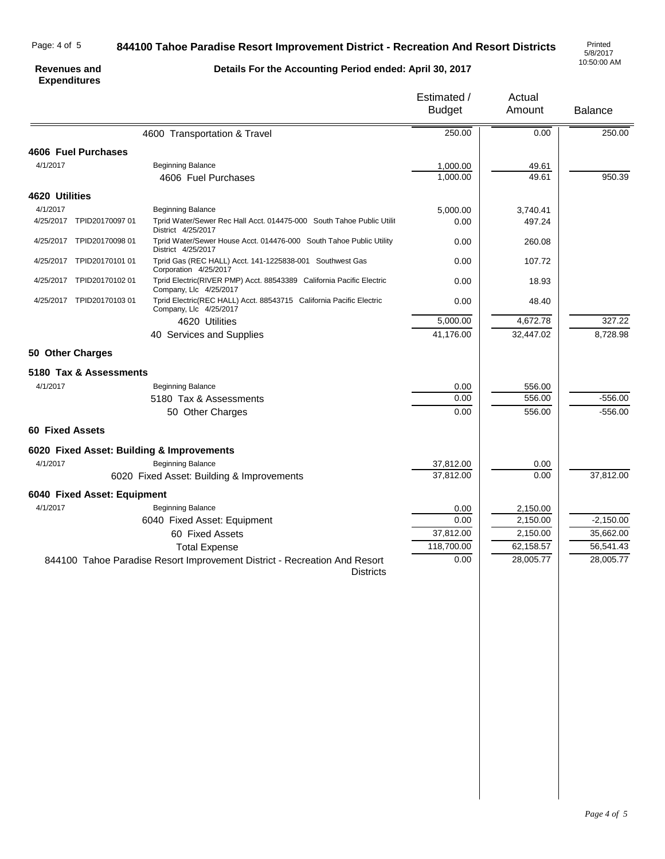# Page: 4 of 5

# **844100 Tahoe Paradise Resort Improvement District - Recreation And Resort Districts**

5/8/2017 10:50:00 AM

### **Revenues and Expenditures**

**Details For the Accounting Period ended: April 30, 2017**

|                        |                             |                                                                                                | Estimated /<br><b>Budget</b> | Actual<br>Amount | <b>Balance</b> |
|------------------------|-----------------------------|------------------------------------------------------------------------------------------------|------------------------------|------------------|----------------|
|                        |                             | 4600 Transportation & Travel                                                                   | 250.00                       | 0.00             | 250.00         |
|                        | 4606 Fuel Purchases         |                                                                                                |                              |                  |                |
| 4/1/2017               |                             | <b>Beginning Balance</b><br>4606 Fuel Purchases                                                | 1,000.00<br>1,000.00         | 49.61<br>49.61   | 950.39         |
| 4620 Utilities         |                             |                                                                                                |                              |                  |                |
| 4/1/2017               |                             | Beginning Balance                                                                              | 5,000.00                     | 3.740.41         |                |
| 4/25/2017              | TPID20170097 01             | Tprid Water/Sewer Rec Hall Acct. 014475-000 South Tahoe Public Utilit<br>District 4/25/2017    | 0.00                         | 497.24           |                |
|                        | 4/25/2017 TPID20170098 01   | Tprid Water/Sewer House Acct. 014476-000 South Tahoe Public Utility<br>District 4/25/2017      | 0.00                         | 260.08           |                |
|                        | 4/25/2017 TPID20170101 01   | Tprid Gas (REC HALL) Acct. 141-1225838-001 Southwest Gas<br>Corporation 4/25/2017              | 0.00                         | 107.72           |                |
|                        | 4/25/2017 TPID20170102 01   | Tprid Electric(RIVER PMP) Acct. 88543389 California Pacific Electric<br>Company, Llc 4/25/2017 | 0.00                         | 18.93            |                |
|                        | 4/25/2017 TPID20170103 01   | Tprid Electric(REC HALL) Acct. 88543715 California Pacific Electric<br>Company, Llc 4/25/2017  | 0.00                         | 48.40            |                |
|                        |                             | 4620 Utilities                                                                                 | 5,000.00                     | 4,672.78         | 327.22         |
|                        |                             | 40 Services and Supplies                                                                       | 41,176.00                    | 32,447.02        | 8,728.98       |
| 50 Other Charges       |                             |                                                                                                |                              |                  |                |
|                        | 5180 Tax & Assessments      |                                                                                                |                              |                  |                |
| 4/1/2017               |                             | <b>Beginning Balance</b>                                                                       | 0.00                         | 556.00           |                |
|                        |                             | 5180 Tax & Assessments                                                                         | 0.00                         | 556.00           | $-556.00$      |
|                        |                             | 50 Other Charges                                                                               | 0.00                         | 556.00           | $-556.00$      |
| <b>60 Fixed Assets</b> |                             |                                                                                                |                              |                  |                |
|                        |                             | 6020 Fixed Asset: Building & Improvements                                                      |                              |                  |                |
| 4/1/2017               |                             | <b>Beginning Balance</b>                                                                       | 37,812.00                    | 0.00             |                |
|                        |                             | 6020 Fixed Asset: Building & Improvements                                                      | 37,812.00                    | 0.00             | 37,812.00      |
|                        | 6040 Fixed Asset: Equipment |                                                                                                |                              |                  |                |
| 4/1/2017               |                             | <b>Beginning Balance</b>                                                                       | 0.00                         | 2,150.00         |                |
|                        |                             | 6040 Fixed Asset: Equipment                                                                    | 0.00                         | 2,150.00         | $-2,150.00$    |
|                        |                             | 60 Fixed Assets                                                                                | 37,812.00                    | 2,150.00         | 35,662.00      |
|                        |                             | <b>Total Expense</b>                                                                           | 118,700.00                   | 62,158.57        | 56,541.43      |
|                        |                             | 844100 Tahoe Paradise Resort Improvement District - Recreation And Resort<br><b>Districts</b>  | 0.00                         | 28,005.77        | 28,005.77      |
|                        |                             |                                                                                                |                              |                  |                |